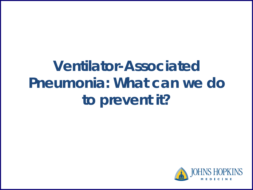# **Ventilator-Associated Pneumonia: What can we do to prevent it?**

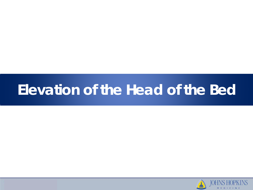### **Elevation of the Head of the Bed**

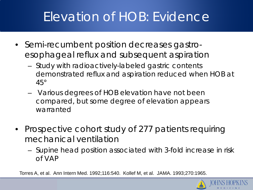### Elevation of HOB: Evidence

- Semi-recumbent position decreases gastroesophageal reflux and subsequent aspiration
	- Study with radioactively-labeled gastric contents demonstrated reflux and aspiration reduced when HOB at 45°
	- Various degrees of HOB elevation have not been compared, but some degree of elevation appears warranted
- Prospective cohort study of 277 patients requiring mechanical ventilation
	- Supine head position associated with 3-fold increase in risk of VAP

Torres A, et al. Ann Intern Med. 1992;116:540. Kollef M, et al. JAMA. 1993;270:1965.

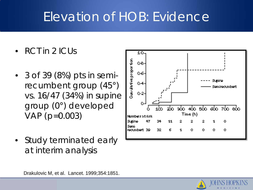### Elevation of HOB: Evidence

- RCT in 2 ICUs
- 3 of 39 (8%) pts in semirecumbent group (45°) vs. 16/47 (34%) in supine group (0°) developed VAP (p=0.003)
- Study terminated early at interim analysis



Drakulovic M, et al. Lancet. 1999;354:1851.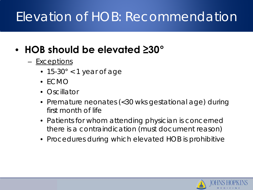### Elevation of HOB: Recommendation

### • **HOB should be elevated ≥30°**

- Exceptions
	- 15-30 $\degree$  < 1 year of age
	- ECMO
	- Oscillator
	- Premature neonates (<30 wks gestational age) during first month of life
	- Patients for whom attending physician is concerned there is a contraindication (must document reason)
	- Procedures during which elevated HOB is prohibitive

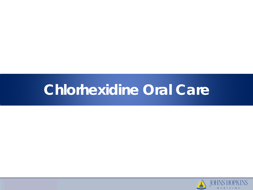### **Chlorhexidine Oral Care**

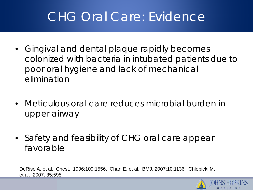### CHG Oral Care: Evidence

- Gingival and dental plaque rapidly becomes colonized with bacteria in intubated patients due to poor oral hygiene and lack of mechanical elimination
- Meticulous oral care reduces microbial burden in upper airway
- Safety and feasibility of CHG oral care appear favorable

DeRiso A, et al. Chest. 1996;109:1556. Chan E, et al. BMJ. 2007;10:1136. Chlebicki M, et al. 2007. 35:595.

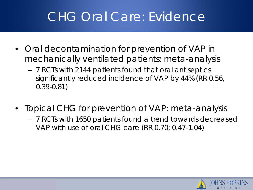### CHG Oral Care: Evidence

- Oral decontamination for prevention of VAP in mechanically ventilated patients: meta-analysis
	- 7 RCTs with 2144 patients found that oral antiseptics significantly reduced incidence of VAP by 44% (RR 0.56, 0.39-0.81)
- Topical CHG for prevention of VAP: meta-analysis
	- 7 RCTs with 1650 patients found a trend towards decreased VAP with use of oral CHG care (RR 0.70; 0.47-1.04)

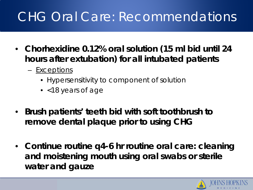### CHG Oral Care: Recommendations

- **Chorhexidine 0.12% oral solution (15 ml bid until 24 hours after extubation) for all intubated patients**
	- Exceptions
		- Hypersensitivity to component of solution
		- <18 years of age
- **Brush patients' teeth bid with soft toothbrush to remove dental plaque prior to using CHG**
- **Continue routine q4-6 hr routine oral care: cleaning and moistening mouth using oral swabs or sterile water and gauze**

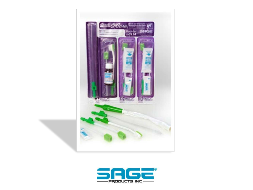

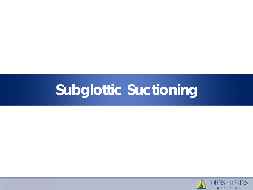## **Subglottic Suctioning**

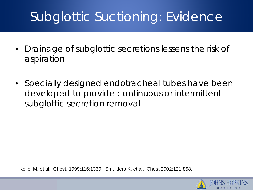### Subglottic Suctioning: Evidence

- Drainage of subglottic secretions lessens the risk of aspiration
- Specially designed endotracheal tubes have been developed to provide continuous or intermittent subglottic secretion removal

Kollef M, et al. Chest. 1999;116:1339. Smulders K, et al. Chest 2002;121:858.

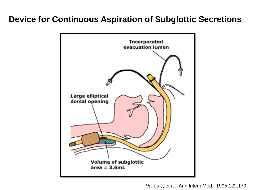#### **Device for Continuous Aspiration of Subglottic Secretions**



Valles J, et al. Ann Intern Med. 1995;122:179.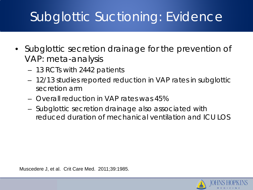### Subglottic Suctioning: Evidence

- Subglottic secretion drainage for the prevention of VAP: meta-analysis
	- 13 RCTs with 2442 patients
	- 12/13 studies reported reduction in VAP rates in subglottic secretion arm
	- Overall reduction in VAP rates was 45%
	- Subglottic secretion drainage also associated with reduced duration of mechanical ventilation and ICU LOS

Muscedere J, et al. Crit Care Med. 2011;39:1985.

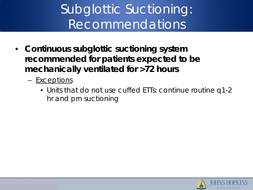### Subglottic Suctioning: Recommendations

- **Continuous subglottic suctioning system recommended for patients expected to be mechanically ventilated for >72 hours**
	- Exceptions
		- Units that do not use cuffed ETTs: continue routine q1-2 hr and prn suctioning

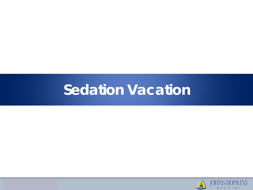### **Sedation Vacation**

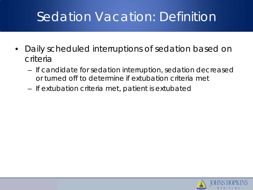### Sedation Vacation: Definition

- Daily scheduled interruptions of sedation based on criteria
	- If candidate for sedation interruption, sedation decreased or turned off to determine if extubation criteria met
	- If extubation criteria met, patient is extubated

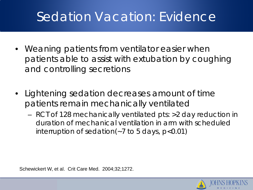### Sedation Vacation: Evidence

- Weaning patients from ventilator easier when patients able to assist with extubation by coughing and controlling secretions
- Lightening sedation decreases amount of time patients remain mechanically ventilated
	- RCT of 128 mechanically ventilated pts: >2 day reduction in duration of mechanical ventilation in arm with scheduled interruption of sedation(~7 to 5 days, p<0.01)

Schewickert W, et al. Crit Care Med. 2004;32;1272.

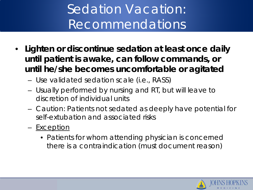## Sedation Vacation: Recommendations

- **Lighten or discontinue sedation at least once daily until patient is awake, can follow commands, or until he/she becomes uncomfortable or agitated**
	- Use validated sedation scale (i.e., RASS)
	- Usually performed by nursing and RT, but will leave to discretion of individual units
	- Caution: Patients not sedated as deeply have potential for self-extubation and associated risks
	- Exception
		- Patients for whom attending physician is concerned there is a contraindication (must document reason)

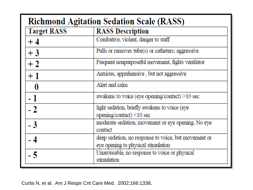| <b>Richmond Agitation Sedation Scale (RASS)</b> |                                                                                             |
|-------------------------------------------------|---------------------------------------------------------------------------------------------|
| <b>Target RASS</b>                              | <b>RASS Description</b>                                                                     |
| $+4$                                            | Combative, violent, danger to staff                                                         |
| $+3$                                            | Pulls or removes tube(s) or catheters; aggressive                                           |
| $+2$                                            | Frequent nonpurposeful movement, fights ventilator                                          |
| $+1$                                            | Anxious, apprehensive, but not aggressive                                                   |
|                                                 | Alert and calm                                                                              |
| - 1                                             | awakens to voice (eye opening/contact) >10 sec                                              |
| $-2$                                            | light sedation, briefly awakens to voice (eye<br>opening/contact) <10 sec                   |
| $-3$                                            | moderate sedation, movement or eye opening. No eye<br>contact                               |
| - 4                                             | deep sedation, no response to voice, but movement or<br>eye opening to physical stimulation |
| - 5                                             | Unarousable, no response to voice or physical<br>stimulation                                |

Curtis N, et al. Am J Respir Crit Care Med. 2002;166:1338.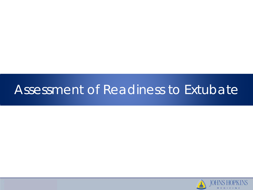### Assessment of Readiness to Extubate

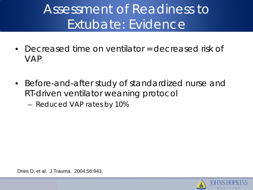### Assessment of Readiness to Extubate: Evidence

- Decreased time on ventilator = decreased risk of VAP
- Before-and-after study of standardized nurse and RT-driven ventilator weaning protocol
	- Reduced VAP rates by 10%

Dries D, et al. J Trauma. 2004;56:943.

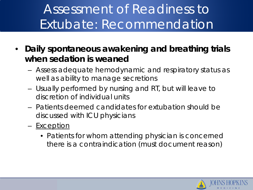## Assessment of Readiness to Extubate: Recommendation

- **Daily spontaneous awakening and breathing trials when sedation is weaned**
	- Assess adequate hemodynamic and respiratory status as well as ability to manage secretions
	- Usually performed by nursing and RT, but will leave to discretion of individual units
	- Patients deemed candidates for extubation should be discussed with ICU physicians
	- Exception
		- Patients for whom attending physician is concerned there is a contraindication (must document reason)